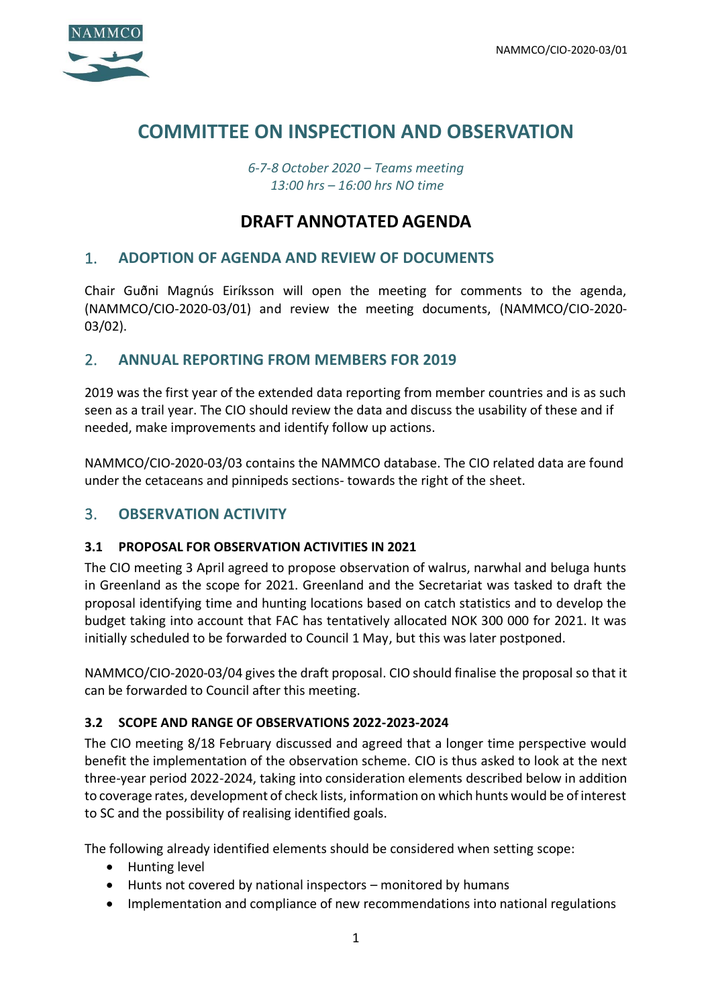

# **COMMITTEE ON INSPECTION AND OBSERVATION**

*6-7-8 October 2020 – Teams meeting 13:00 hrs – 16:00 hrs NO time*

# **DRAFT ANNOTATED AGENDA**

### 1. **ADOPTION OF AGENDA AND REVIEW OF DOCUMENTS**

Chair Guðni Magnús Eiríksson will open the meeting for comments to the agenda, (NAMMCO/CIO-2020-03/01) and review the meeting documents, (NAMMCO/CIO-2020- 03/02).

### 2. **ANNUAL REPORTING FROM MEMBERS FOR 2019**

2019 was the first year of the extended data reporting from member countries and is as such seen as a trail year. The CIO should review the data and discuss the usability of these and if needed, make improvements and identify follow up actions.

NAMMCO/CIO-2020-03/03 contains the NAMMCO database. The CIO related data are found under the cetaceans and pinnipeds sections- towards the right of the sheet.

## 3. **OBSERVATION ACTIVITY**

#### **3.1 PROPOSAL FOR OBSERVATION ACTIVITIES IN 2021**

The CIO meeting 3 April agreed to propose observation of walrus, narwhal and beluga hunts in Greenland as the scope for 2021. Greenland and the Secretariat was tasked to draft the proposal identifying time and hunting locations based on catch statistics and to develop the budget taking into account that FAC has tentatively allocated NOK 300 000 for 2021. It was initially scheduled to be forwarded to Council 1 May, but this was later postponed.

NAMMCO/CIO-2020-03/04 gives the draft proposal. CIO should finalise the proposal so that it can be forwarded to Council after this meeting.

#### **3.2 SCOPE AND RANGE OF OBSERVATIONS 2022-2023-2024**

The CIO meeting 8/18 February discussed and agreed that a longer time perspective would benefit the implementation of the observation scheme. CIO is thus asked to look at the next three-year period 2022-2024, taking into consideration elements described below in addition to coverage rates, development of check lists, information on which hunts would be of interest to SC and the possibility of realising identified goals.

The following already identified elements should be considered when setting scope:

- Hunting level
- Hunts not covered by national inspectors monitored by humans
- Implementation and compliance of new recommendations into national regulations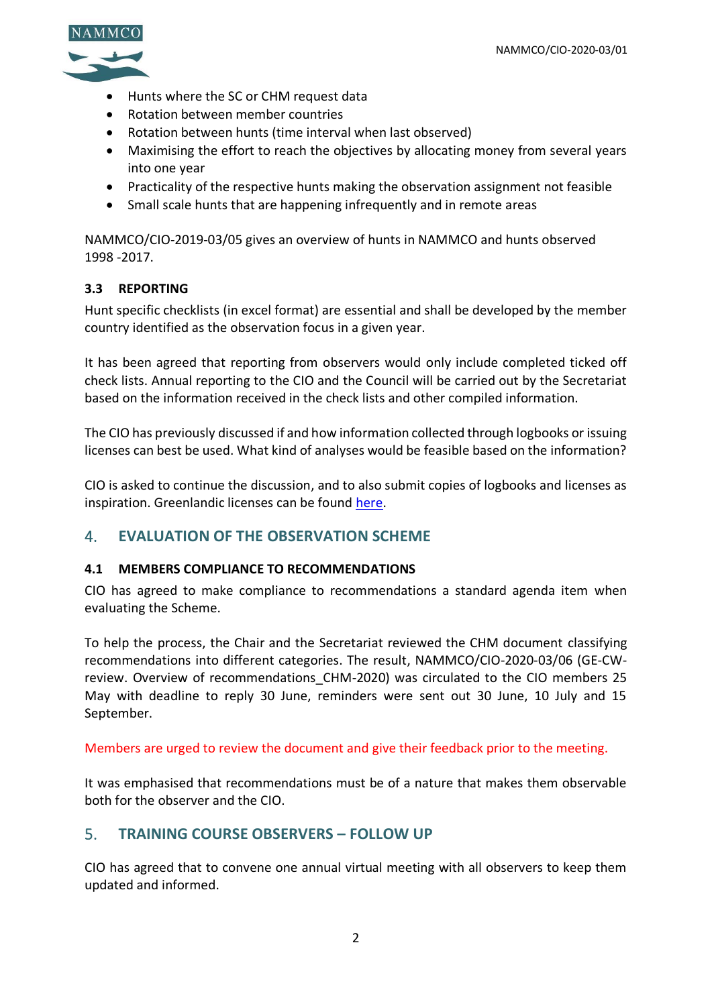

- Hunts where the SC or CHM request data
- Rotation between member countries
- Rotation between hunts (time interval when last observed)
- Maximising the effort to reach the objectives by allocating money from several years into one year
- Practicality of the respective hunts making the observation assignment not feasible
- Small scale hunts that are happening infrequently and in remote areas

NAMMCO/CIO-2019-03/05 gives an overview of hunts in NAMMCO and hunts observed 1998 -2017.

#### **3.3 REPORTING**

Hunt specific checklists (in excel format) are essential and shall be developed by the member country identified as the observation focus in a given year.

It has been agreed that reporting from observers would only include completed ticked off check lists. Annual reporting to the CIO and the Council will be carried out by the Secretariat based on the information received in the check lists and other compiled information.

The CIO has previously discussed if and how information collected through logbooks or issuing licenses can best be used. What kind of analyses would be feasible based on the information?

CIO is asked to continue the discussion, and to also submit copies of logbooks and licenses as inspiration. Greenlandic licenses can be found [here.](https://nammco.no/topics/observer-training-february-2020/)

# 4. **EVALUATION OF THE OBSERVATION SCHEME**

#### **4.1 MEMBERS COMPLIANCE TO RECOMMENDATIONS**

CIO has agreed to make compliance to recommendations a standard agenda item when evaluating the Scheme.

To help the process, the Chair and the Secretariat reviewed the CHM document classifying recommendations into different categories. The result, NAMMCO/CIO-2020-03/06 (GE-CWreview. Overview of recommendations CHM-2020) was circulated to the CIO members 25 May with deadline to reply 30 June, reminders were sent out 30 June, 10 July and 15 September.

Members are urged to review the document and give their feedback prior to the meeting.

It was emphasised that recommendations must be of a nature that makes them observable both for the observer and the CIO.

## 5. **TRAINING COURSE OBSERVERS – FOLLOW UP**

CIO has agreed that to convene one annual virtual meeting with all observers to keep them updated and informed.